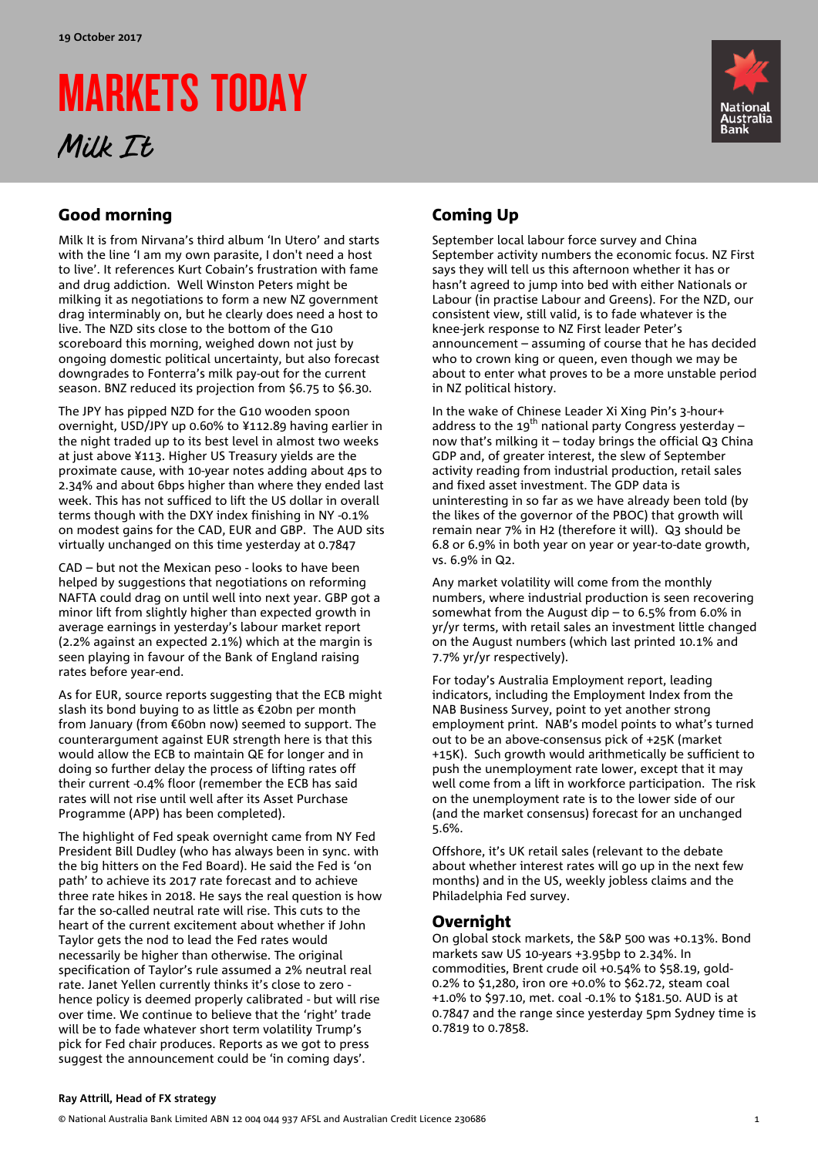# MARKETS TODAY Milk It



## Good morning

Milk It is from Nirvana's third album 'In Utero' and starts with the line 'I am my own parasite, I don't need a host to live'. It references Kurt Cobain's frustration with fame and drug addiction. Well Winston Peters might be milking it as negotiations to form a new NZ government drag interminably on, but he clearly does need a host to live. The NZD sits close to the bottom of the G10 scoreboard this morning, weighed down not just by ongoing domestic political uncertainty, but also forecast downgrades to Fonterra's milk pay-out for the current season. BNZ reduced its projection from \$6.75 to \$6.30.

The JPY has pipped NZD for the G10 wooden spoon overnight, USD/JPY up 0.60% to ¥112.89 having earlier in the night traded up to its best level in almost two weeks at just above ¥113. Higher US Treasury yields are the proximate cause, with 10-year notes adding about 4ps to 2.34% and about 6bps higher than where they ended last week. This has not sufficed to lift the US dollar in overall terms though with the DXY index finishing in NY -0.1% on modest gains for the CAD, EUR and GBP. The AUD sits virtually unchanged on this time yesterday at 0.7847

CAD – but not the Mexican peso - looks to have been helped by suggestions that negotiations on reforming NAFTA could drag on until well into next year. GBP got a minor lift from slightly higher than expected growth in average earnings in yesterday's labour market report (2.2% against an expected 2.1%) which at the margin is seen playing in favour of the Bank of England raising rates before year-end.

As for EUR, source reports suggesting that the ECB might slash its bond buying to as little as €20bn per month from January (from €60bn now) seemed to support. The counterargument against EUR strength here is that this would allow the ECB to maintain QE for longer and in doing so further delay the process of lifting rates off their current -0.4% floor (remember the ECB has said rates will not rise until well after its Asset Purchase Programme (APP) has been completed).

The highlight of Fed speak overnight came from NY Fed President Bill Dudley (who has always been in sync. with the big hitters on the Fed Board). He said the Fed is 'on path' to achieve its 2017 rate forecast and to achieve three rate hikes in 2018. He says the real question is how far the so-called neutral rate will rise. This cuts to the heart of the current excitement about whether if John Taylor gets the nod to lead the Fed rates would necessarily be higher than otherwise. The original specification of Taylor's rule assumed a 2% neutral real rate. Janet Yellen currently thinks it's close to zero hence policy is deemed properly calibrated - but will rise over time. We continue to believe that the 'right' trade will be to fade whatever short term volatility Trump's pick for Fed chair produces. Reports as we got to press suggest the announcement could be 'in coming days'.

# Coming Up

September local labour force survey and China September activity numbers the economic focus. NZ First says they will tell us this afternoon whether it has or hasn't agreed to jump into bed with either Nationals or Labour (in practise Labour and Greens). For the NZD, our consistent view, still valid, is to fade whatever is the knee-jerk response to NZ First leader Peter's announcement – assuming of course that he has decided who to crown king or queen, even though we may be about to enter what proves to be a more unstable period in NZ political history.

In the wake of Chinese Leader Xi Xing Pin's 3-hour+ address to the 19<sup>th</sup> national party Congress yesterday – now that's milking it – today brings the official Q3 China GDP and, of greater interest, the slew of September activity reading from industrial production, retail sales and fixed asset investment. The GDP data is uninteresting in so far as we have already been told (by the likes of the governor of the PBOC) that growth will remain near 7% in H2 (therefore it will). Q3 should be 6.8 or 6.9% in both year on year or year-to-date growth, vs. 6.9% in Q2.

Any market volatility will come from the monthly numbers, where industrial production is seen recovering somewhat from the August dip – to 6.5% from 6.0% in yr/yr terms, with retail sales an investment little changed on the August numbers (which last printed 10.1% and 7.7% yr/yr respectively).

For today's Australia Employment report, leading indicators, including the Employment Index from the NAB Business Survey, point to yet another strong employment print. NAB's model points to what's turned out to be an above-consensus pick of +25K (market +15K). Such growth would arithmetically be sufficient to push the unemployment rate lower, except that it may well come from a lift in workforce participation. The risk on the unemployment rate is to the lower side of our (and the market consensus) forecast for an unchanged 5.6%.

Offshore, it's UK retail sales (relevant to the debate about whether interest rates will go up in the next few months) and in the US, weekly jobless claims and the Philadelphia Fed survey.

### Overnight

On global stock markets, the S&P 500 was +0.13%. Bond markets saw US 10-years +3.95bp to 2.34%. In commodities, Brent crude oil +0.54% to \$58.19, gold-0.2% to \$1,280, iron ore +0.0% to \$62.72, steam coal +1.0% to \$97.10, met. coal -0.1% to \$181.50. AUD is at 0.7847 and the range since yesterday 5pm Sydney time is 0.7819 to 0.7858.

#### **Ray Attrill, Head of FX strategy**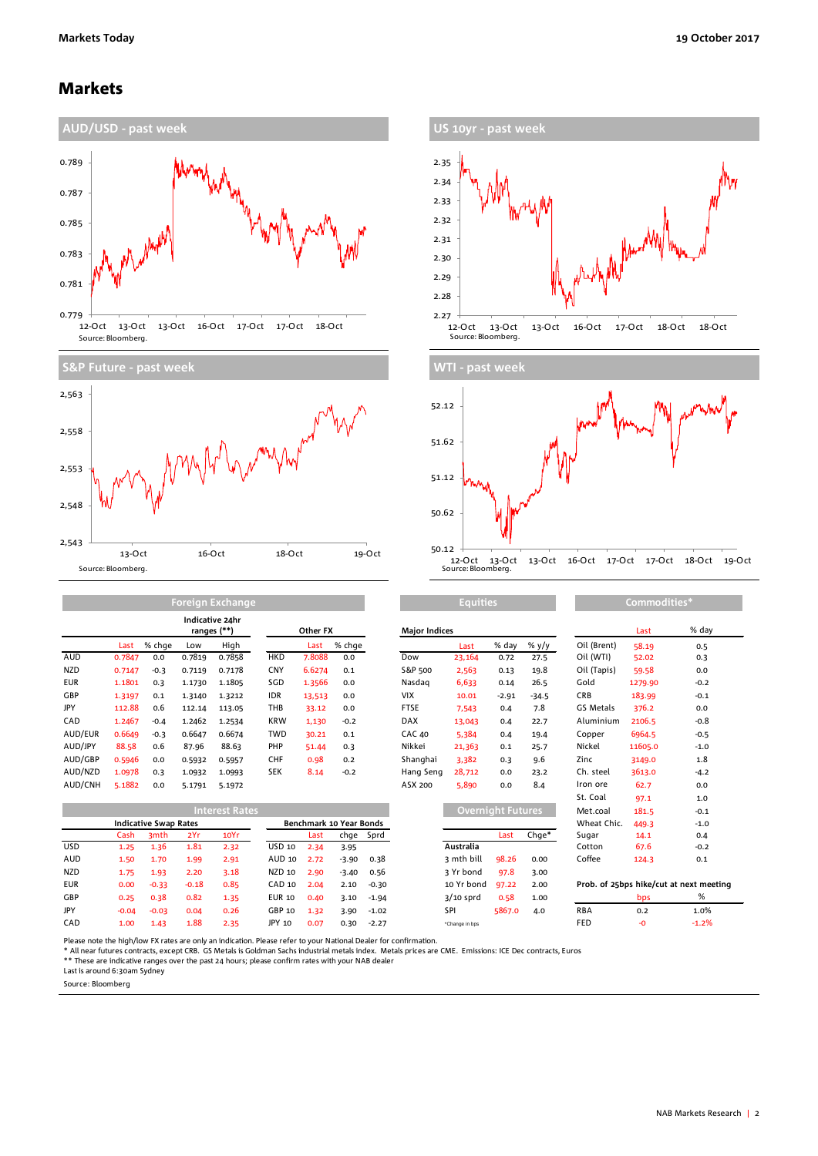### Markets

2,543

Source: Bloomberg.







| <b>Foreign Exchange</b> |        |        |        |                                |            |          |        | <b>Equities</b>      |        |         |         | Commodities* |         |        |  |
|-------------------------|--------|--------|--------|--------------------------------|------------|----------|--------|----------------------|--------|---------|---------|--------------|---------|--------|--|
|                         |        |        |        | Indicative 24hr<br>ranges (**) |            | Other FX |        | <b>Major Indices</b> |        |         |         |              | Last    | % da   |  |
|                         | Last   | % chge | Low    | High                           |            | Last     | % chge |                      | Last   | % day   | % y/y   | Oil (Brent)  | 58.19   | 0.5    |  |
| AUD                     | 0.7847 | 0.0    | 0.7819 | 0.7858                         | <b>HKD</b> | 7.8088   | 0.0    | Dow                  | 23,164 | 0.72    | 27.5    | Oil (WTI)    | 52.02   | 0.3    |  |
| <b>NZD</b>              | 0.7147 | $-0.3$ | 0.7119 | 0.7178                         | <b>CNY</b> | 6.6274   | 0.1    | S&P 500              | 2,563  | 0.13    | 19.8    | Oil (Tapis)  | 59.58   | 0.0    |  |
| <b>EUR</b>              | 1.1801 | 0.3    | 1.1730 | 1.1805                         | SGD        | 1.3566   | 0.0    | Nasdag               | 6,633  | 0.14    | 26.5    | Gold         | 1279.90 | $-0.2$ |  |
| <b>GBP</b>              | 1.3197 | 0.1    | 1.3140 | 1.3212                         | <b>IDR</b> | 13,513   | 0.0    | <b>VIX</b>           | 10.01  | $-2.91$ | $-34.5$ | <b>CRB</b>   | 183.99  | $-0.1$ |  |
| JPY                     | 112.88 | 0.6    | 112.14 | 113.05                         | THB        | 33.12    | 0.0    | <b>FTSE</b>          | 7,543  | 0.4     | 7.8     | GS Metals    | 376.2   | 0.0    |  |
| CAD                     | 1.2467 | $-0.4$ | 1.2462 | 1.2534                         | <b>KRW</b> | 1,130    | $-0.2$ | <b>DAX</b>           | 13,043 | 0.4     | 22.7    | Aluminium    | 2106.5  | $-0.8$ |  |
| AUD/EUR                 | 0.6649 | $-0.3$ | 0.6647 | 0.6674                         | <b>TWD</b> | 30.21    | 0.1    | <b>CAC 40</b>        | 5,384  | 0.4     | 19.4    | Copper       | 6964.5  | $-0.5$ |  |
| AUD/JPY                 | 88.58  | 0.6    | 87.96  | 88.63                          | PHP        | 51.44    | 0.3    | Nikkei               | 21,363 | 0.1     | 25.7    | Nickel       | 11605.0 | $-1.0$ |  |
| AUD/GBP                 | 0.5946 | 0.0    | 0.5932 | 0.5957                         | <b>CHF</b> | 0.98     | 0.2    | Shanghai             | 3.382  | 0.3     | 9.6     | Zinc         | 3149.0  | 1.8    |  |
| AUD/NZD                 | 1.0978 | 0.3    | 1.0932 | 1.0993                         | <b>SEK</b> | 8.14     | $-0.2$ | Hang Seng            | 28,712 | 0.0     | 23.2    | Ch. steel    | 3613.0  | $-4.7$ |  |
| AUD/CNH                 | 5.1882 | 0.0    | 5.1791 | 5.1972                         |            |          |        | ASX 200              | 5,890  | 0.0     | 8.4     | Iron ore     | 62.7    | 0.0    |  |

13-Oct 16-Oct 18-Oct 19-Oct

|            | <b>Interest Rates</b>        |                  |         |                         |               |      |         |           |                | Overnight Futures, |       |            | 181.5 | $-0.1$                                  |
|------------|------------------------------|------------------|---------|-------------------------|---------------|------|---------|-----------|----------------|--------------------|-------|------------|-------|-----------------------------------------|
|            | <b>Indicative Swap Rates</b> |                  |         | Benchmark 10 Year Bonds |               |      |         |           |                | Wheat Chic.        | 449.3 | $-1.0$     |       |                                         |
|            | Cash                         | 3 <sub>mth</sub> | 2Yr     | 10Yr                    |               | Last |         | chge Sprd |                | Last               | Chge* | Sugar      | 14.1  | 0.4                                     |
| USD.       | 1.25                         | 1.36             | 1.81    | 2.32                    | USD 10        | 2.34 | 3.95    |           | Australia      |                    |       | Cotton     | 67.6  | $-0.2$                                  |
| AUD        | 1.50                         | 1.70             | 1.99    | 2.91                    | AUD 10        | 2.72 | $-3.90$ | 0.38      | 3 mth bill     | 98.26              | 0.00  | Coffee     | 124.3 | 0.1                                     |
| <b>NZD</b> | 1.75                         | 1.93             | 2.20    | 3.18                    | NZD 10        | 2.90 | $-3.40$ | 0.56      | 3 Yr bond      | 97.8               | 3.00  |            |       |                                         |
| <b>EUR</b> | 0.00                         | $-0.33$          | $-0.18$ | 0.85                    | CAD 10        | 2.04 | 2.10    | $-0.30$   | 10 Yr bond     | 97.22              | 2.00  |            |       | Prob. of 25bps hike/cut at next meeting |
| GBP        | 0.25                         | 0.38             | 0.82    | 1.35                    | <b>EUR 10</b> | 0.40 | 3.10    | $-1.94$   | $3/10$ sprd    | 0.58               | 1.00  |            | bps   | %                                       |
| JPY        | $-0.04$                      | $-0.03$          | 0.04    | 0.26                    | GBP 10        | 1.32 | 3.90    | $-1.02$   | SPI            | 5867.0             | 4.0   | <b>RBA</b> | 0.2   | 1.0%                                    |
| CAD        | 1.00                         | 1.43             | 1.88    | 2.35                    | JPY 10        | 0.07 | 0.30    | $-2.27$   | *Change in bps |                    |       | FED        | -0    | $-1.2%$                                 |

| Other FX |                      |         | <b>Major Indices</b> |             |                          |                    |                                    | Last    | % day   |
|----------|----------------------|---------|----------------------|-------------|--------------------------|--------------------|------------------------------------|---------|---------|
| Last     | % chge               |         |                      | Last        | % day                    | % y/y              | Oil (Brent)                        | 58.19   | 0.5     |
| 7.8088   | 0.0                  |         | Dow                  | 23,164      | 0.72                     | 27.5               | Oil (WTI)                          | 52.02   | 0.3     |
| 6.6274   | 0.1                  |         | S&P 500              | 2,563       | 0.13                     | 19.8               | Oil (Tapis)                        | 59.58   | 0.0     |
| 1.3566   | 0.0                  |         | Nasdag               | 6,633       | 0.14                     | 26.5               | Gold                               | 1279.90 | $-0.2$  |
| 13,513   | 0.0                  |         | <b>VIX</b>           | 10.01       | $-2.91$                  | $-34.5$            | CRB                                | 183.99  | $-0.1$  |
| 33.12    | 0.0                  |         | <b>FTSE</b>          | 7,543       | 0.4                      | 7.8                | GS Metals                          | 376.2   | 0.0     |
| 1,130    | $-0.2$               |         | <b>DAX</b>           | 13,043      | 0.4                      | 22.7               | Aluminium                          | 2106.5  | $-0.8$  |
| 30.21    | 0.1                  |         | <b>CAC 40</b>        | 5.384       | 0.4                      | 19.4               | Copper                             | 6964.5  | $-0.5$  |
| 51.44    | 0.3                  |         | Nikkei               | 21,363      | 0.1                      | 25.7               | Nickel                             | 11605.0 | $-1.0$  |
| 0.98     | 0.2                  |         | Shanghai             | 3,382       | 0.3                      | 9.6                | Zinc                               | 3149.0  | 1.8     |
| 8.14     | $-0.2$               |         | Hang Seng            | 28,712      | 0.0                      | 23.2               | Ch. steel                          | 3613.0  | $-4.2$  |
|          |                      |         | ASX 200              | 5,890       | 0.0                      | 8.4                | Iron ore                           | 62.7    | 0.0     |
|          |                      |         |                      |             |                          |                    | St. Coal                           | 97.1    | 1.0     |
|          |                      |         |                      |             | <b>Overnight Futures</b> |                    | Met.coal                           | 181.5   | $-0.1$  |
|          | chmark 10 Year Bonds |         |                      |             |                          |                    | Wheat Chic.                        | 449.3   | $-1.0$  |
| Last     | chge                 | Sprd    |                      |             | Last                     | Chge*              | Sugar                              | 14.1    | 0.4     |
| 2.34     | 3.95                 |         |                      | Australia   |                          |                    | Cotton                             | 67.6    | $-0.2$  |
| 2.72     | $-3.90$              | 0.38    |                      | 3 mth bill  | 98.26                    | 0.00               | Coffee                             | 124.3   | 0.1     |
| 2.90     | $-3.40$              | 0.56    |                      | 3 Yr bond   | 97.8                     | 3.00               |                                    |         |         |
| 2.04     | 2.10                 | $-0.30$ |                      | 10 Yr bond  | 97.22                    | 2.00               | Prob. of 25bps hike/cut at next me |         |         |
| 0.40     | 3.10                 | $-1.94$ |                      | $3/10$ sprd | 0.58                     | 1.00               |                                    | bps     | %       |
| 1. 22    | ה פ                  | $-1.02$ |                      | <b>CDI</b>  | $E$ 867 $n$              | $\Lambda$ $\Omega$ | <b>RRA</b>                         | ົາ      | $1.0\%$ |

|                                                                                           | Commodities* |        |  |  |  |  |  |  |
|-------------------------------------------------------------------------------------------|--------------|--------|--|--|--|--|--|--|
|                                                                                           | Last         | % day  |  |  |  |  |  |  |
|                                                                                           |              |        |  |  |  |  |  |  |
| Oil (Brent)                                                                               | 58.19        | 0.5    |  |  |  |  |  |  |
| Oil (WTI)                                                                                 | 52.02        | 0.3    |  |  |  |  |  |  |
| Oil (Tapis)                                                                               | 59.58        | 0.0    |  |  |  |  |  |  |
| Gold                                                                                      | 1279.90      | $-0.2$ |  |  |  |  |  |  |
| <b>CRB</b>                                                                                | 183.99       | $-0.1$ |  |  |  |  |  |  |
| <b>GS Metals</b>                                                                          | 376.2        | 0.0    |  |  |  |  |  |  |
| Aluminium                                                                                 | 2106.5       | $-0.8$ |  |  |  |  |  |  |
| Copper                                                                                    | 6964.5       | $-0.5$ |  |  |  |  |  |  |
| Nickel                                                                                    | 11605.0      | $-1.0$ |  |  |  |  |  |  |
| Zinc                                                                                      | 3149.0       | 1.8    |  |  |  |  |  |  |
| Ch. steel                                                                                 | 3613.0       | $-4.2$ |  |  |  |  |  |  |
| Iron ore                                                                                  | 62.7         | 0.0    |  |  |  |  |  |  |
| St. Coal                                                                                  | 97.1         | 1.0    |  |  |  |  |  |  |
| Met.coal                                                                                  | 181.5        | $-0.1$ |  |  |  |  |  |  |
| Wheat Chic.                                                                               | 449.3        | $-1.0$ |  |  |  |  |  |  |
| Sugar                                                                                     | 14.1         | 0.4    |  |  |  |  |  |  |
| Cotton                                                                                    | 67.6         | $-0.2$ |  |  |  |  |  |  |
| Coffee                                                                                    | 124.3        | 0.1    |  |  |  |  |  |  |
| Prob. of 25bps hike/cut at next meeting                                                   |              |        |  |  |  |  |  |  |
| $\sim$<br>the contract of the contract of the contract of the contract of the contract of |              |        |  |  |  |  |  |  |

Please note the high/low FX rates are only an indication. Please refer to your National Dealer for confirmation.

\* All near futures contracts, except CRB. GS Metals is Goldman Sachs industrial metals index. Metals prices are CME. Emissions: ICE Dec contracts, Euros<br>\*\* These are indicative ranges over the past 24 hours; please confirm

Last is around 6:30am Sydney

Source: Bloomberg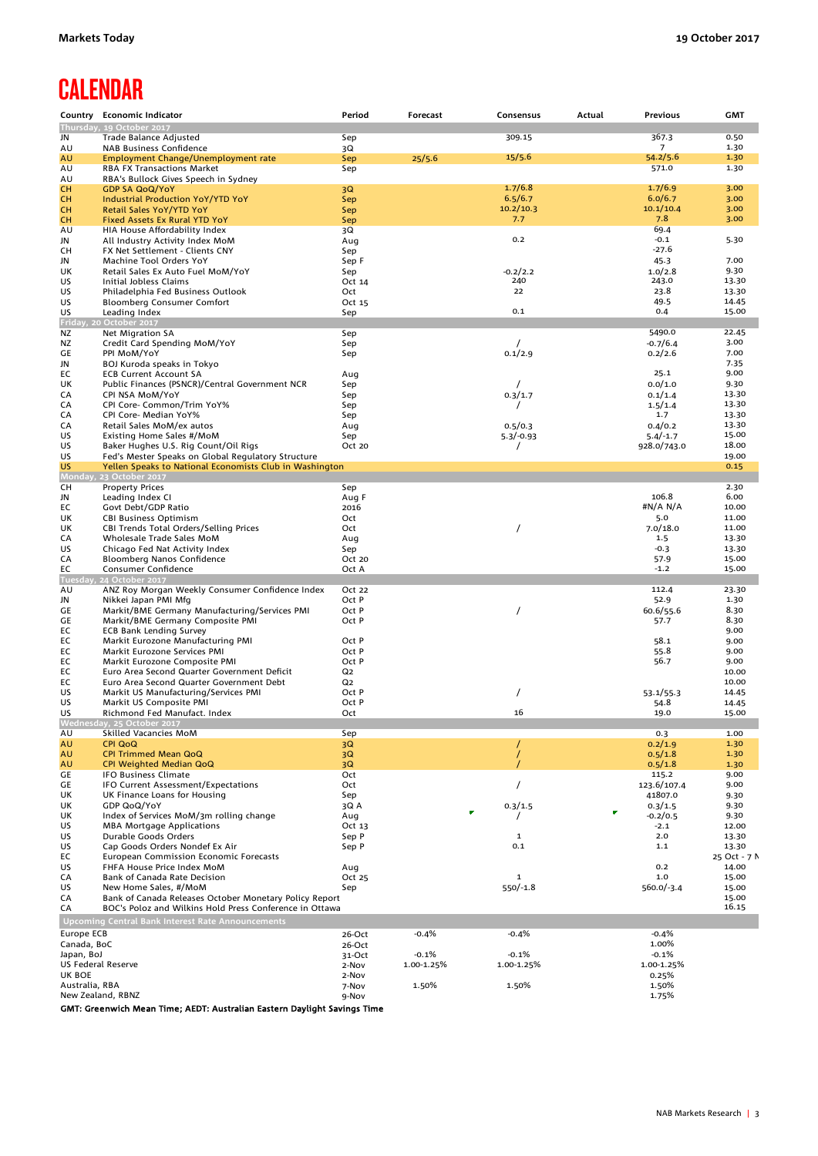# **CALENDAR**

|                                  | Country Economic Indicator                                                | Period          | Forecast              | Consensus             | Actual | Previous              | <b>GMT</b>     |
|----------------------------------|---------------------------------------------------------------------------|-----------------|-----------------------|-----------------------|--------|-----------------------|----------------|
|                                  | Thursday, 19 October 2017                                                 |                 |                       |                       |        |                       |                |
| JN                               | Trade Balance Adjusted                                                    | Sep             |                       | 309.15                |        | 367.3                 | 0.50           |
| AU                               | <b>NAB Business Confidence</b>                                            | 3Q              |                       |                       |        | 7                     | 1.30           |
| AU                               | Employment Change/Unemployment rate                                       | Sep             | 25/5.6                | 15/5.6                |        | 54.2/5.6<br>571.0     | 1.30<br>1.30   |
| AU<br>AU                         | <b>RBA FX Transactions Market</b><br>RBA's Bullock Gives Speech in Sydney | Sep             |                       |                       |        |                       |                |
| CН                               | <b>GDP SA QoQ/YoY</b>                                                     | 3Q              |                       | 1.7/6.8               |        | 1.7/6.9               | 3.00           |
| CН                               | Industrial Production YoY/YTD YoY                                         | Sep             |                       | 6.5/6.7               |        | 6.0/6.7               | 3.00           |
| CН                               | Retail Sales YoY/YTD YoY                                                  | Sep             |                       | 10.2/10.3             |        | 10.1/10.4             | 3.00           |
| CН                               | Fixed Assets Ex Rural YTD YoY                                             | Sep             |                       | 7.7                   |        | 7.8                   | 3.00           |
| AU                               | HIA House Affordability Index                                             | 3Q              |                       |                       |        | 69.4                  |                |
| JN                               | All Industry Activity Index MoM                                           | Aug             |                       | 0.2                   |        | $-0.1$<br>$-27.6$     | 5.30           |
| CН<br>JN                         | FX Net Settlement - Clients CNY<br>Machine Tool Orders YoY                | Sep<br>Sep F    |                       |                       |        | 45.3                  | 7.00           |
| UK                               | Retail Sales Ex Auto Fuel MoM/YoY                                         | Sep             |                       | $-0.2/2.2$            |        | 1.0/2.8               | 9.30           |
| US                               | Initial Jobless Claims                                                    | Oct 14          |                       | 240                   |        | 243.0                 | 13.30          |
| US                               | Philadelphia Fed Business Outlook                                         | Oct             |                       | 22                    |        | 23.8                  | 13.30          |
| US                               | <b>Bloomberg Consumer Comfort</b>                                         | Oct 15          |                       |                       |        | 49.5                  | 14.45          |
| US                               | Leading Index                                                             | Sep             |                       | 0.1                   |        | 0.4                   | 15.00          |
|                                  | Friday, 20 October 2017                                                   |                 |                       |                       |        |                       |                |
| ΝZ                               | Net Migration SA                                                          | Sep             |                       |                       |        | 5490.0                | 22.45<br>3.00  |
| ΝZ<br>GE                         | Credit Card Spending MoM/YoY<br>PPI MoM/YoY                               | Sep<br>Sep      |                       | 0.1/2.9               |        | $-0.7/6.4$<br>0.2/2.6 | 7.00           |
| JN                               | BOJ Kuroda speaks in Tokyo                                                |                 |                       |                       |        |                       | 7.35           |
| EС                               | <b>ECB Current Account SA</b>                                             | Aug             |                       |                       |        | 25.1                  | 9.00           |
| UK                               | Public Finances (PSNCR)/Central Government NCR                            | Sep             |                       |                       |        | 0.0/1.0               | 9.30           |
| СA                               | CPI NSA MoM/YoY                                                           | Sep             |                       | 0.3/1.7               |        | 0.1/1.4               | 13.30          |
| CA                               | CPI Core- Common/Trim YoY%                                                | Sep             |                       |                       |        | 1.5/1.4               | 13.30          |
| CA                               | CPI Core- Median YoY%                                                     | Sep             |                       |                       |        | 1.7                   | 13.30          |
| CA                               | Retail Sales MoM/ex autos                                                 | Aug             |                       | 0.5/0.3               |        | 0.4/0.2               | 13.30<br>15.00 |
| US<br>US                         | Existing Home Sales #/MoM<br>Baker Hughes U.S. Rig Count/Oil Rigs         | Sep<br>Oct 20   |                       | $5.3/-0.93$           |        | $5.4/-1.7$            | 18.00          |
| US                               | Fed's Mester Speaks on Global Regulatory Structure                        |                 |                       | $\prime$              |        | 928.0/743.0           | 19.00          |
| US                               | Yellen Speaks to National Economists Club in Washington                   |                 |                       |                       |        |                       | 0.15           |
| Monday,                          | 23 October 2017                                                           |                 |                       |                       |        |                       |                |
| CН                               | <b>Property Prices</b>                                                    | Sep             |                       |                       |        |                       | 2.30           |
| JN                               | Leading Index CI                                                          | Aug F           |                       |                       |        | 106.8                 | 6.00           |
| EС                               | Govt Debt/GDP Ratio                                                       | 2016            |                       |                       |        | #N/A N/A              | 10.00          |
| UK                               | <b>CBI Business Optimism</b>                                              | Oct             |                       |                       |        | 5.0                   | 11.00          |
| UK                               | CBI Trends Total Orders/Selling Prices                                    | Oct             |                       | $\prime$              |        | 7.0/18.0              | 11.00          |
| СA<br>US                         | Wholesale Trade Sales MoM<br>Chicago Fed Nat Activity Index               | Aug<br>Sep      |                       |                       |        | 1.5<br>$-0.3$         | 13.30<br>13.30 |
| СA                               | Bloomberg Nanos Confidence                                                | Oct 20          |                       |                       |        | 57.9                  | 15.00          |
| EС                               | Consumer Confidence                                                       | Oct A           |                       |                       |        | $-1.2$                | 15.00          |
| Tuesday,                         | 24 October 2017                                                           |                 |                       |                       |        |                       |                |
| AU                               | ANZ Roy Morgan Weekly Consumer Confidence Index                           | Oct 22          |                       |                       |        | 112.4                 | 23.30          |
| JN                               | Nikkei Japan PMI Mfg                                                      | Oct P           |                       |                       |        | 52.9                  | 1.30           |
| GE                               | Markit/BME Germany Manufacturing/Services PMI                             | Oct P           |                       | $\prime$              |        | 60.6/55.6             | 8.30           |
| GE<br>EС                         | Markit/BME Germany Composite PMI                                          | Oct P           |                       |                       |        | 57.7                  | 8.30<br>9.00   |
| ЕC                               | <b>ECB Bank Lending Survey</b><br>Markit Eurozone Manufacturing PMI       | Oct P           |                       |                       |        | 58.1                  | 9.00           |
| EС                               | Markit Eurozone Services PMI                                              | Oct P           |                       |                       |        | 55.8                  | 9.00           |
| ЕC                               | Markit Eurozone Composite PMI                                             | Oct P           |                       |                       |        | 56.7                  | 9.00           |
| EС                               | Euro Area Second Quarter Government Deficit                               | Q2              |                       |                       |        |                       | 10.00          |
| ЕC                               | Euro Area Second Quarter Government Debt                                  | Q2              |                       |                       |        |                       | 10.00          |
| US                               | Markit US Manufacturing/Services PMI                                      | Oct P           |                       | 7                     |        | 53.1/55.3             | 14.45          |
| US                               | Markit US Composite PMI                                                   | Oct P           |                       | 16                    |        | 54.8                  | 14.45          |
| US                               | Richmond Fed Manufact. Index                                              | Oct             |                       |                       |        | 19.0                  | 15.00          |
| AU                               | Skilled Vacancies MoM                                                     | Sep             |                       |                       |        | 0.3                   | 1.00           |
| AU                               | <b>CPI QoQ</b>                                                            | 3Q              |                       |                       |        | 0.2/1.9               | 1.30           |
| AU                               | <b>CPI Trimmed Mean QoQ</b>                                               | 3Q              |                       |                       |        | 0.5/1.8               | 1.30           |
| AU                               | CPI Weighted Median QoQ                                                   | 3Q              |                       |                       |        | 0.5/1.8               | 1.30           |
| GE                               | <b>IFO Business Climate</b>                                               | Oct             |                       |                       |        | 115.2                 | 9.00           |
| GE                               | IFO Current Assessment/Expectations                                       | Oct             |                       | $\prime$              |        | 123.6/107.4           | 9.00           |
| UK                               | UK Finance Loans for Housing                                              | Sep             |                       |                       |        | 41807.0               | 9.30           |
| UK<br>UK                         | GDP QoQ/YoY<br>Index of Services MoM/3m rolling change                    | 3Q A            | ×                     | 0.3/1.5               |        | 0.3/1.5<br>$-0.2/0.5$ | 9.30<br>9.30   |
| US                               | <b>MBA Mortgage Applications</b>                                          | Aug<br>Oct 13   |                       |                       |        | $-2.1$                | 12.00          |
| US                               | Durable Goods Orders                                                      | Sep P           |                       | 1                     |        | 2.0                   | 13.30          |
| US                               | Cap Goods Orders Nondef Ex Air                                            | Sep P           |                       | 0.1                   |        | 1.1                   | 13.30          |
| EC                               | <b>European Commission Economic Forecasts</b>                             |                 |                       |                       |        |                       | 25 Oct - 7 N   |
| US                               | FHFA House Price Index MoM                                                | Aug             |                       |                       |        | 0.2                   | 14.00          |
| CA                               | Bank of Canada Rate Decision                                              | Oct 25          |                       | 1                     |        | 1.0                   | 15.00          |
| US                               | New Home Sales, #/MoM                                                     | Sep             |                       | $550/-1.8$            |        | $560.0/-3.4$          | 15.00          |
| CA                               | Bank of Canada Releases October Monetary Policy Report                    |                 |                       |                       |        |                       | 15.00          |
| CA                               | BOC's Poloz and Wilkins Hold Press Conference in Ottawa                   |                 |                       |                       |        |                       | 16.15          |
|                                  | <b>Upcoming Central Bank Interest Rate Announcements</b>                  |                 |                       |                       |        |                       |                |
| Europe ECB                       |                                                                           | 26-Oct          | $-0.4%$               | $-0.4%$               |        | $-0.4%$               |                |
| Canada, BoC                      |                                                                           | 26-Oct          |                       |                       |        | 1.00%                 |                |
| Japan, BoJ<br>US Federal Reserve |                                                                           | 31-Oct<br>2-Nov | $-0.1%$<br>1.00-1.25% | $-0.1%$<br>1.00-1.25% |        | $-0.1%$<br>1.00-1.25% |                |
| UK BOE                           |                                                                           | 2-Nov           |                       |                       |        | 0.25%                 |                |
| Australia, RBA                   |                                                                           | 7-Nov           | 1.50%                 | 1.50%                 |        | 1.50%                 |                |
| New Zealand, RBNZ                |                                                                           | 9-Nov           |                       |                       |        | 1.75%                 |                |

GMT: Greenwich Mean Time; AEDT: Australian Eastern Daylight Savings Time